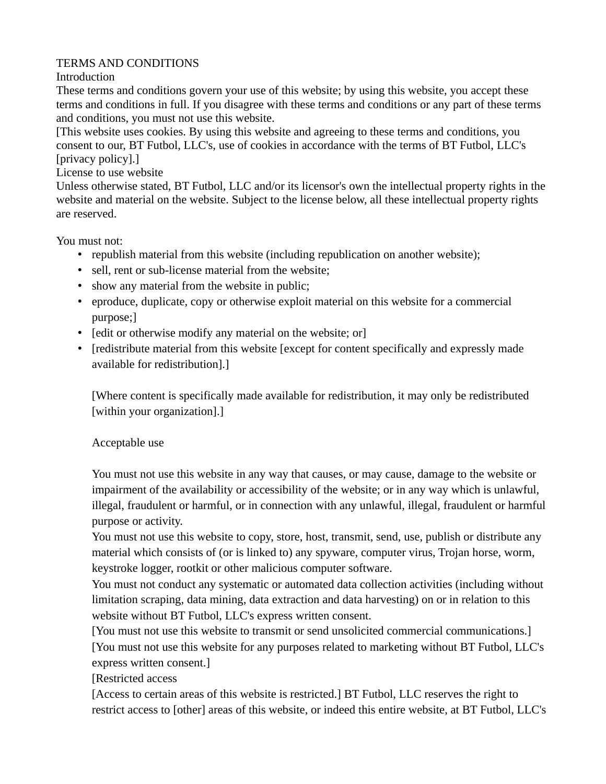## TERMS AND CONDITIONS

## Introduction

These terms and conditions govern your use of this website; by using this website, you accept these terms and conditions in full. If you disagree with these terms and conditions or any part of these terms and conditions, you must not use this website.

[This website uses cookies. By using this website and agreeing to these terms and conditions, you consent to our, BT Futbol, LLC's, use of cookies in accordance with the terms of BT Futbol, LLC's [privacy policy].]

## License to use website

Unless otherwise stated, BT Futbol, LLC and/or its licensor's own the intellectual property rights in the website and material on the website. Subject to the license below, all these intellectual property rights are reserved.

You must not:

- republish material from this website (including republication on another website);
- sell, rent or sub-license material from the website;
- show any material from the website in public;
- eproduce, duplicate, copy or otherwise exploit material on this website for a commercial purpose;]
- [edit or otherwise modify any material on the website; or]
- [redistribute material from this website [except for content specifically and expressly made available for redistribution].]

[Where content is specifically made available for redistribution, it may only be redistributed [within your organization].]

## Acceptable use

You must not use this website in any way that causes, or may cause, damage to the website or impairment of the availability or accessibility of the website; or in any way which is unlawful, illegal, fraudulent or harmful, or in connection with any unlawful, illegal, fraudulent or harmful purpose or activity.

You must not use this website to copy, store, host, transmit, send, use, publish or distribute any material which consists of (or is linked to) any spyware, computer virus, Trojan horse, worm, keystroke logger, rootkit or other malicious computer software.

You must not conduct any systematic or automated data collection activities (including without limitation scraping, data mining, data extraction and data harvesting) on or in relation to this website without BT Futbol, LLC's express written consent.

[You must not use this website to transmit or send unsolicited commercial communications.] [You must not use this website for any purposes related to marketing without BT Futbol, LLC's express written consent.]

[Restricted access

[Access to certain areas of this website is restricted.] BT Futbol, LLC reserves the right to restrict access to [other] areas of this website, or indeed this entire website, at BT Futbol, LLC's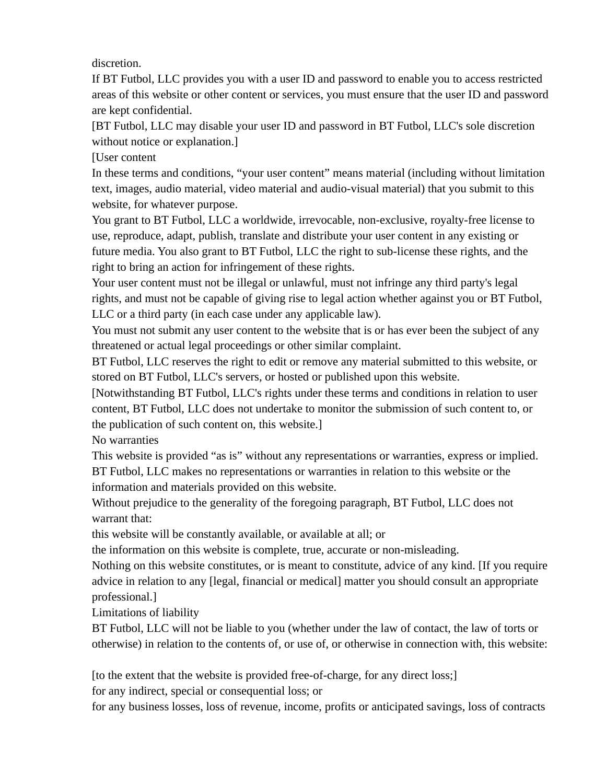discretion.

If BT Futbol, LLC provides you with a user ID and password to enable you to access restricted areas of this website or other content or services, you must ensure that the user ID and password are kept confidential.

[BT Futbol, LLC may disable your user ID and password in BT Futbol, LLC's sole discretion without notice or explanation.]

[User content

In these terms and conditions, "your user content" means material (including without limitation text, images, audio material, video material and audio-visual material) that you submit to this website, for whatever purpose.

You grant to BT Futbol, LLC a worldwide, irrevocable, non-exclusive, royalty-free license to use, reproduce, adapt, publish, translate and distribute your user content in any existing or future media. You also grant to BT Futbol, LLC the right to sub-license these rights, and the right to bring an action for infringement of these rights.

Your user content must not be illegal or unlawful, must not infringe any third party's legal rights, and must not be capable of giving rise to legal action whether against you or BT Futbol, LLC or a third party (in each case under any applicable law).

You must not submit any user content to the website that is or has ever been the subject of any threatened or actual legal proceedings or other similar complaint.

BT Futbol, LLC reserves the right to edit or remove any material submitted to this website, or stored on BT Futbol, LLC's servers, or hosted or published upon this website.

[Notwithstanding BT Futbol, LLC's rights under these terms and conditions in relation to user content, BT Futbol, LLC does not undertake to monitor the submission of such content to, or the publication of such content on, this website.]

No warranties

This website is provided "as is" without any representations or warranties, express or implied. BT Futbol, LLC makes no representations or warranties in relation to this website or the information and materials provided on this website.

Without prejudice to the generality of the foregoing paragraph, BT Futbol, LLC does not warrant that:

this website will be constantly available, or available at all; or

the information on this website is complete, true, accurate or non-misleading.

Nothing on this website constitutes, or is meant to constitute, advice of any kind. [If you require advice in relation to any [legal, financial or medical] matter you should consult an appropriate professional.]

Limitations of liability

BT Futbol, LLC will not be liable to you (whether under the law of contact, the law of torts or otherwise) in relation to the contents of, or use of, or otherwise in connection with, this website:

[to the extent that the website is provided free-of-charge, for any direct loss;]

for any indirect, special or consequential loss; or

for any business losses, loss of revenue, income, profits or anticipated savings, loss of contracts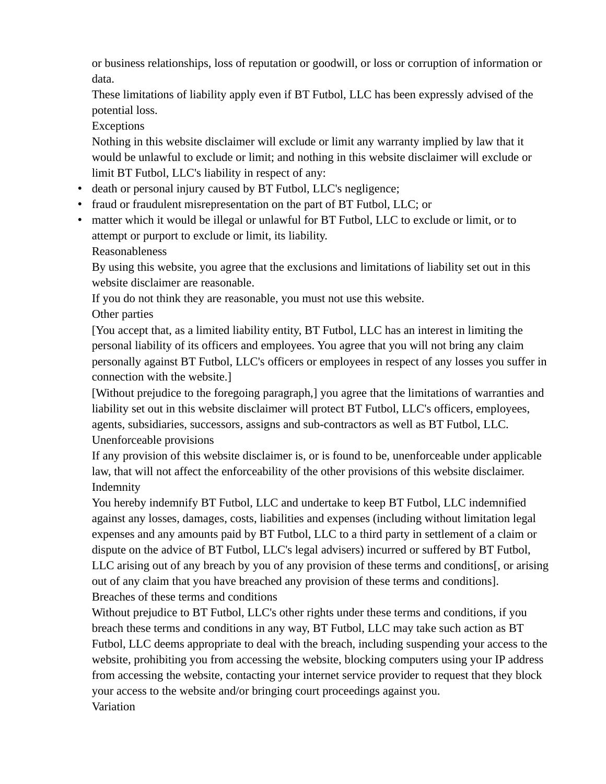or business relationships, loss of reputation or goodwill, or loss or corruption of information or data.

These limitations of liability apply even if BT Futbol, LLC has been expressly advised of the potential loss.

Exceptions

Nothing in this website disclaimer will exclude or limit any warranty implied by law that it would be unlawful to exclude or limit; and nothing in this website disclaimer will exclude or limit BT Futbol, LLC's liability in respect of any:

- death or personal injury caused by BT Futbol, LLC's negligence;
- fraud or fraudulent misrepresentation on the part of BT Futbol, LLC; or
- matter which it would be illegal or unlawful for BT Futbol, LLC to exclude or limit, or to attempt or purport to exclude or limit, its liability.

Reasonableness

By using this website, you agree that the exclusions and limitations of liability set out in this website disclaimer are reasonable.

If you do not think they are reasonable, you must not use this website.

Other parties

[You accept that, as a limited liability entity, BT Futbol, LLC has an interest in limiting the personal liability of its officers and employees. You agree that you will not bring any claim personally against BT Futbol, LLC's officers or employees in respect of any losses you suffer in connection with the website.]

[Without prejudice to the foregoing paragraph,] you agree that the limitations of warranties and liability set out in this website disclaimer will protect BT Futbol, LLC's officers, employees, agents, subsidiaries, successors, assigns and sub-contractors as well as BT Futbol, LLC. Unenforceable provisions

If any provision of this website disclaimer is, or is found to be, unenforceable under applicable law, that will not affect the enforceability of the other provisions of this website disclaimer. Indemnity

You hereby indemnify BT Futbol, LLC and undertake to keep BT Futbol, LLC indemnified against any losses, damages, costs, liabilities and expenses (including without limitation legal expenses and any amounts paid by BT Futbol, LLC to a third party in settlement of a claim or dispute on the advice of BT Futbol, LLC's legal advisers) incurred or suffered by BT Futbol, LLC arising out of any breach by you of any provision of these terms and conditions[, or arising out of any claim that you have breached any provision of these terms and conditions]. Breaches of these terms and conditions

Without prejudice to BT Futbol, LLC's other rights under these terms and conditions, if you breach these terms and conditions in any way, BT Futbol, LLC may take such action as BT Futbol, LLC deems appropriate to deal with the breach, including suspending your access to the website, prohibiting you from accessing the website, blocking computers using your IP address from accessing the website, contacting your internet service provider to request that they block your access to the website and/or bringing court proceedings against you. Variation